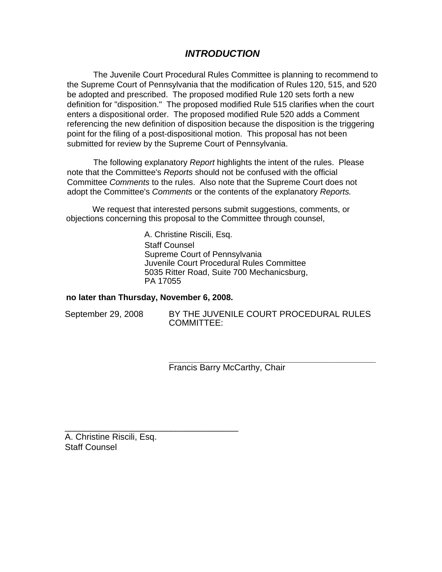# *INTRODUCTION*

The Juvenile Court Procedural Rules Committee is planning to recommend to the Supreme Court of Pennsylvania that the modification of Rules 120, 515, and 520 be adopted and prescribed. The proposed modified Rule 120 sets forth a new definition for "disposition." The proposed modified Rule 515 clarifies when the court enters a dispositional order. The proposed modified Rule 520 adds a Comment referencing the new definition of disposition because the disposition is the triggering point for the filing of a post-dispositional motion. This proposal has not been submitted for review by the Supreme Court of Pennsylvania.

The following explanatory *Report* highlights the intent of the rules. Please note that the Committee's *Reports* should not be confused with the official Committee *Comments* to the rules. Also note that the Supreme Court does not adopt the Committee's *Comments* or the contents of the explanatory *Reports.* 

We request that interested persons submit suggestions, comments, or objections concerning this proposal to the Committee through counsel,

> A. Christine Riscili, Esq. Staff Counsel Supreme Court of Pennsylvania Juvenile Court Procedural Rules Committee 5035 Ritter Road, Suite 700 Mechanicsburg, PA 17055

## **no later than Thursday, November 6, 2008.**

\_\_\_\_\_\_\_\_\_\_\_\_\_\_\_\_\_\_\_\_\_\_\_\_\_\_\_\_\_\_\_\_\_\_\_\_

September 29, 2008 BY THE JUVENILE COURT PROCEDURAL RULES COMMITTEE:

> **\_\_\_\_\_\_\_\_\_\_\_\_\_\_\_\_\_\_\_\_\_\_\_\_\_\_\_\_\_\_\_\_\_\_\_\_\_\_\_\_\_\_\_**  Francis Barry McCarthy, Chair

A. Christine Riscili, Esq. Staff Counsel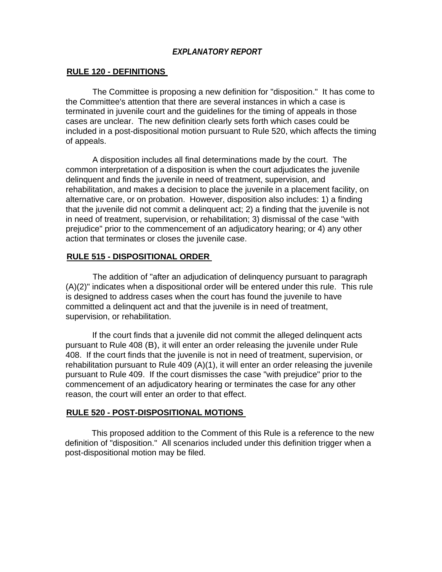## *EXPLANATORY REPORT*

## **RULE 120 - DEFINITIONS**

The Committee is proposing a new definition for "disposition." It has come to the Committee's attention that there are several instances in which a case is terminated in juvenile court and the guidelines for the timing of appeals in those cases are unclear. The new definition clearly sets forth which cases could be included in a post-dispositional motion pursuant to Rule 520, which affects the timing of appeals.

A disposition includes all final determinations made by the court. The common interpretation of a disposition is when the court adjudicates the juvenile delinquent and finds the juvenile in need of treatment, supervision, and rehabilitation, and makes a decision to place the juvenile in a placement facility, on alternative care, or on probation. However, disposition also includes: 1) a finding that the juvenile did not commit a delinquent act; 2) a finding that the juvenile is not in need of treatment, supervision, or rehabilitation; 3) dismissal of the case "with prejudice" prior to the commencement of an adjudicatory hearing; or 4) any other action that terminates or closes the juvenile case.

### **RULE 515 - DISPOSITIONAL ORDER**

The addition of "after an adjudication of delinquency pursuant to paragraph  $(A)(2)$ " indicates when a dispositional order will be entered under this rule. This rule is designed to address cases when the court has found the juvenile to have committed a delinquent act and that the juvenile is in need of treatment, supervision, or rehabilitation.

If the court finds that a juvenile did not commit the alleged delinquent acts pursuant to Rule 408 (B), it will enter an order releasing the juvenile under Rule 408. If the court finds that the juvenile is not in need of treatment, supervision, or rehabilitation pursuant to Rule 409 (A)(1), it will enter an order releasing the juvenile pursuant to Rule 409. If the court dismisses the case "with prejudice" prior to the commencement of an adjudicatory hearing or terminates the case for any other reason, the court will enter an order to that effect.

### **RULE 520 - POST-DISPOSITIONAL MOTIONS**

This proposed addition to the Comment of this Rule is a reference to the new definition of "disposition." All scenarios included under this definition trigger when a post-dispositional motion may be filed.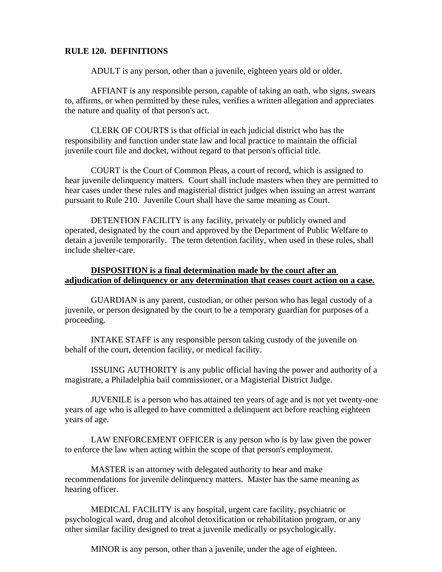### **RULE 120. DEFINITIONS**

ADULT is any person, other than a juvenile, eighteen years old or older.

AFFIANT is any responsible person, capable of taking an oath, who signs, swears to, affirms, or when permitted by these rules, verifies a written allegation and appreciates the nature and quality of that person's act.

CLERK OF COURTS is that official in each judicial district who has the responsibility and function under state law and local practice to maintain the official juvenile court file and docket, without regard to that person's official title.

COURT is the Court of Common Pleas, a court of record, which is assigned to hear juvenile delinquency matters. Court shall include masters when they are permitted to hear cases under these rules and magisterial district judges when issuing an arrest warrant pursuant to Rule 210. Juvenile Court shall have the same meaning as Court.

DETENTION FACILITY is any facility, privately or publicly owned and operated, designated by the court and approved by the Department of Public Welfare to detain a juvenile temporarily. The term detention facility, when used in these rules, shall include shelter-care.

### **DISPOSITION is a final determination made by the court after an adjudication of delinquency or any determination that ceases court action on a case.**

GUARDIAN is any parent, custodian, or other person who has legal custody of a juvenile, or person designated by the court to be a temporary guardian for purposes of a proceeding.

INTAKE STAFF is any responsible person taking custody of the juvenile on behalf of the court, detention facility, or medical facility.

ISSUING AUTHORITY is any public official having the power and authority of a magistrate, a Philadelphia bail commissioner, or a Magisterial District Judge.

JUVENILE is a person who has attained ten years of age and is not yet twenty-one years of age who is alleged to have committed a delinquent act before reaching eighteen years of age.

LAW ENFORCEMENT OFFICER is any person who is by law given the power to enforce the law when acting within the scope of that person's employment.

MASTER is an attorney with delegated authority to hear and make recommendations for juvenile delinquency matters. Master has the same meaning as hearing officer.

MEDICAL FACILITY is any hospital, urgent care facility, psychiatric or psychological ward, drug and alcohol detoxification or rehabilitation program, or any other similar facility designed to treat a juvenile medically or psychologically.

MINOR is any person, other than a juvenile, under the age of eighteen.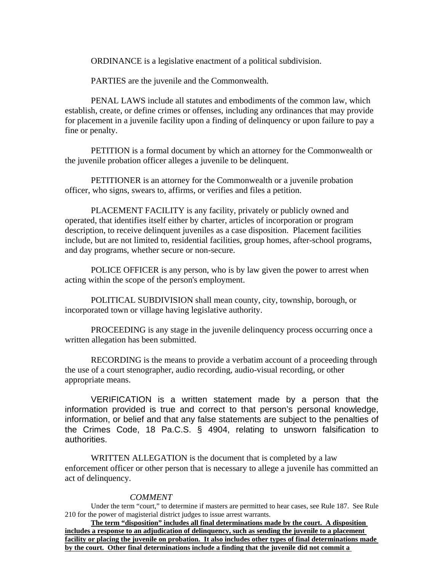ORDINANCE is a legislative enactment of a political subdivision.

PARTIES are the juvenile and the Commonwealth.

PENAL LAWS include all statutes and embodiments of the common law, which establish, create, or define crimes or offenses, including any ordinances that may provide for placement in a juvenile facility upon a finding of delinquency or upon failure to pay a fine or penalty.

PETITION is a formal document by which an attorney for the Commonwealth or the juvenile probation officer alleges a juvenile to be delinquent.

PETITIONER is an attorney for the Commonwealth or a juvenile probation officer, who signs, swears to, affirms, or verifies and files a petition.

PLACEMENT FACILITY is any facility, privately or publicly owned and operated, that identifies itself either by charter, articles of incorporation or program description, to receive delinquent juveniles as a case disposition. Placement facilities include, but are not limited to, residential facilities, group homes, after-school programs, and day programs, whether secure or non-secure.

POLICE OFFICER is any person, who is by law given the power to arrest when acting within the scope of the person's employment.

POLITICAL SUBDIVISION shall mean county, city, township, borough, or incorporated town or village having legislative authority.

PROCEEDING is any stage in the juvenile delinquency process occurring once a written allegation has been submitted.

RECORDING is the means to provide a verbatim account of a proceeding through the use of a court stenographer, audio recording, audio-visual recording, or other appropriate means.

 VERIFICATION is a written statement made by a person that the information provided is true and correct to that person's personal knowledge, information, or belief and that any false statements are subject to the penalties of the Crimes Code, 18 Pa.C.S. § 4904, relating to unsworn falsification to authorities.

WRITTEN ALLEGATION is the document that is completed by a law enforcement officer or other person that is necessary to allege a juvenile has committed an act of delinquency.

### *COMMENT*

Under the term "court," to determine if masters are permitted to hear cases, see Rule 187. See Rule 210 for the power of magisterial district judges to issue arrest warrants.

**The term "disposition" includes all final determinations made by the court. A disposition includes a response to an adjudication of delinquency, such as sending the juvenile to a placement facility or placing the juvenile on probation. It also includes other types of final determinations made by the court. Other final determinations include a finding that the juvenile did not commit a**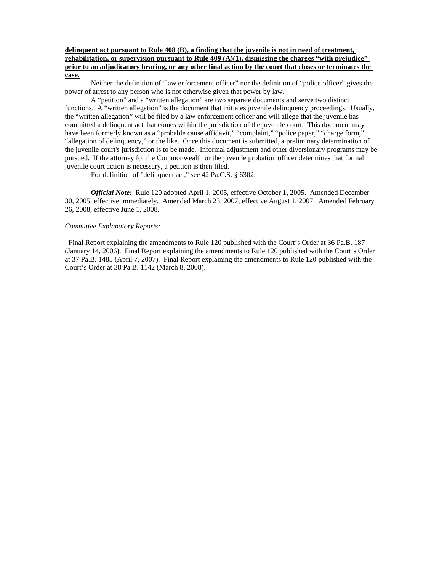### **delinquent act pursuant to Rule 408 (B), a finding that the juvenile is not in need of treatment, rehabilitation, or supervision pursuant to Rule 409 (A)(1), dismissing the charges "with prejudice" prior to an adjudicatory hearing, or any other final action by the court that closes or terminates the case.**

Neither the definition of "law enforcement officer" nor the definition of "police officer" gives the power of arrest to any person who is not otherwise given that power by law.

A "petition" and a "written allegation" are two separate documents and serve two distinct functions. A "written allegation" is the document that initiates juvenile delinquency proceedings. Usually, the "written allegation" will be filed by a law enforcement officer and will allege that the juvenile has committed a delinquent act that comes within the jurisdiction of the juvenile court. This document may have been formerly known as a "probable cause affidavit," "complaint," "police paper," "charge form," "allegation of delinquency," or the like. Once this document is submitted, a preliminary determination of the juvenile court's jurisdiction is to be made. Informal adjustment and other diversionary programs may be pursued. If the attorney for the Commonwealth or the juvenile probation officer determines that formal juvenile court action is necessary, a petition is then filed.

For definition of "delinquent act," see 42 Pa.C.S. § 6302.

*Official Note:* Rule 120 adopted April 1, 2005, effective October 1, 2005. Amended December 30, 2005, effective immediately. Amended March 23, 2007, effective August 1, 2007. Amended February 26, 2008, effective June 1, 2008.

#### *Committee Explanatory Reports:*

Final Report explaining the amendments to Rule 120 published with the Court's Order at 36 Pa.B. 187 (January 14, 2006). Final Report explaining the amendments to Rule 120 published with the Court's Order at 37 Pa.B. 1485 (April 7, 2007). Final Report explaining the amendments to Rule 120 published with the Court's Order at 38 Pa.B. 1142 (March 8, 2008).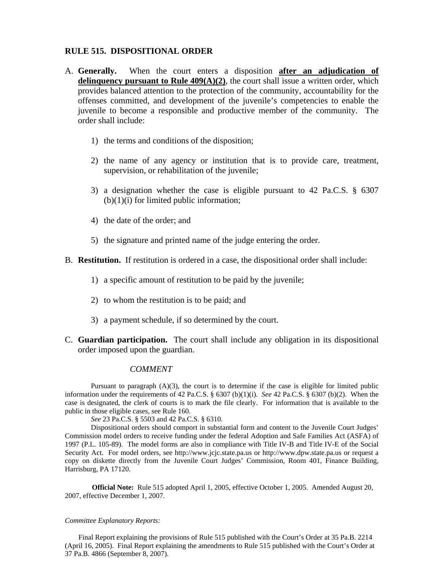### **RULE 515. DISPOSITIONAL ORDER**

- A. **Generally.** When the court enters a disposition **after an adjudication of delinquency pursuant to Rule 409(A)(2)**, the court shall issue a written order, which provides balanced attention to the protection of the community, accountability for the offenses committed, and development of the juvenile's competencies to enable the juvenile to become a responsible and productive member of the community. The order shall include:
	- 1) the terms and conditions of the disposition;
	- 2) the name of any agency or institution that is to provide care, treatment, supervision, or rehabilitation of the juvenile;
	- 3) a designation whether the case is eligible pursuant to 42 Pa.C.S. § 6307  $(b)(1)(i)$  for limited public information;
	- 4) the date of the order; and
	- 5) the signature and printed name of the judge entering the order.
- B. **Restitution.** If restitution is ordered in a case, the dispositional order shall include:
	- 1) a specific amount of restitution to be paid by the juvenile;
	- 2) to whom the restitution is to be paid; and
	- 3) a payment schedule, if so determined by the court.
- C. **Guardian participation.** The court shall include any obligation in its dispositional order imposed upon the guardian.

### *COMMENT*

Pursuant to paragraph (A)(3), the court is to determine if the case is eligible for limited public information under the requirements of 42 Pa.C.S. § 6307 (b)(1)(i). *See* 42 Pa.C.S. § 6307 (b)(2). When the case is designated, the clerk of courts is to mark the file clearly. For information that is available to the public in those eligible cases, see Rule 160.

*See* 23 Pa.C.S. § 5503 and 42 Pa.C.S. § 6310.

Dispositional orders should comport in substantial form and content to the Juvenile Court Judges' Commission model orders to receive funding under the federal Adoption and Safe Families Act (ASFA) of 1997 (P.L. 105-89). The model forms are also in compliance with Title IV-B and Title IV-E of the Social Security Act. For model orders, see http://www.jcjc.state.pa.us or http://www.dpw.state.pa.us or request a copy on diskette directly from the Juvenile Court Judges' Commission, Room 401, Finance Building, Harrisburg, PA 17120.

**Official Note:** Rule 515 adopted April 1, 2005, effective October 1, 2005. Amended August 20, 2007, effective December 1, 2007.

#### *Committee Explanatory Reports:*

Final Report explaining the provisions of Rule 515 published with the Court's Order at 35 Pa.B. 2214 (April 16, 2005). Final Report explaining the amendments to Rule 515 published with the Court's Order at 37 Pa.B. 4866 (September 8, 2007).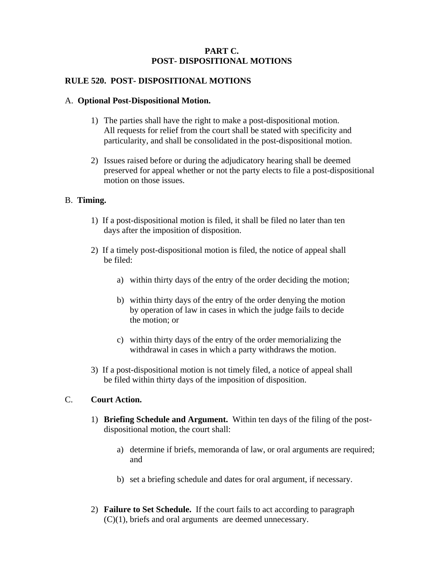## **PART C. POST- DISPOSITIONAL MOTIONS**

## **RULE 520. POST- DISPOSITIONAL MOTIONS**

## A. **Optional Post-Dispositional Motion.**

- 1) The parties shall have the right to make a post-dispositional motion. All requests for relief from the court shall be stated with specificity and particularity, and shall be consolidated in the post-dispositional motion.
- 2) Issues raised before or during the adjudicatory hearing shall be deemed preserved for appeal whether or not the party elects to file a post-dispositional motion on those issues.

## B. **Timing.**

- 1) If a post-dispositional motion is filed, it shall be filed no later than ten days after the imposition of disposition.
- 2) If a timely post-dispositional motion is filed, the notice of appeal shall be filed:
	- a) within thirty days of the entry of the order deciding the motion;
	- b) within thirty days of the entry of the order denying the motion by operation of law in cases in which the judge fails to decide the motion; or
	- c) within thirty days of the entry of the order memorializing the withdrawal in cases in which a party withdraws the motion.
- 3) If a post-dispositional motion is not timely filed, a notice of appeal shall be filed within thirty days of the imposition of disposition.

## C. **Court Action.**

- 1) **Briefing Schedule and Argument.** Within ten days of the filing of the postdispositional motion, the court shall:
	- a) determine if briefs, memoranda of law, or oral arguments are required; and
	- b) set a briefing schedule and dates for oral argument, if necessary.
- 2) **Failure to Set Schedule.** If the court fails to act according to paragraph (C)(1), briefs and oral arguments are deemed unnecessary.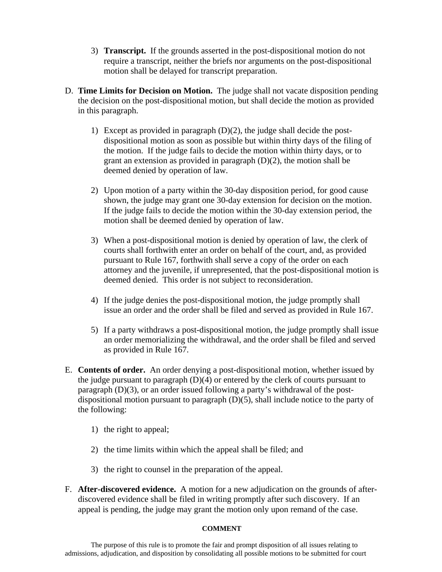- 3) **Transcript.** If the grounds asserted in the post-dispositional motion do not require a transcript, neither the briefs nor arguments on the post-dispositional motion shall be delayed for transcript preparation.
- D. **Time Limits for Decision on Motion.** The judge shall not vacate disposition pending the decision on the post-dispositional motion, but shall decide the motion as provided in this paragraph.
	- 1) Except as provided in paragraph (D)(2), the judge shall decide the postdispositional motion as soon as possible but within thirty days of the filing of the motion. If the judge fails to decide the motion within thirty days, or to grant an extension as provided in paragraph (D)(2), the motion shall be deemed denied by operation of law.
	- 2) Upon motion of a party within the 30-day disposition period, for good cause shown, the judge may grant one 30-day extension for decision on the motion. If the judge fails to decide the motion within the 30-day extension period, the motion shall be deemed denied by operation of law.
	- 3) When a post-dispositional motion is denied by operation of law, the clerk of courts shall forthwith enter an order on behalf of the court, and, as provided pursuant to Rule 167, forthwith shall serve a copy of the order on each attorney and the juvenile, if unrepresented, that the post-dispositional motion is deemed denied. This order is not subject to reconsideration.
	- 4) If the judge denies the post-dispositional motion, the judge promptly shall issue an order and the order shall be filed and served as provided in Rule 167.
	- 5) If a party withdraws a post-dispositional motion, the judge promptly shall issue an order memorializing the withdrawal, and the order shall be filed and served as provided in Rule 167.
- E. **Contents of order.** An order denying a post-dispositional motion, whether issued by the judge pursuant to paragraph (D)(4) or entered by the clerk of courts pursuant to paragraph (D)(3), or an order issued following a party's withdrawal of the postdispositional motion pursuant to paragraph (D)(5), shall include notice to the party of the following:
	- 1) the right to appeal;
	- 2) the time limits within which the appeal shall be filed; and
	- 3) the right to counsel in the preparation of the appeal.
- F. **After-discovered evidence.** A motion for a new adjudication on the grounds of afterdiscovered evidence shall be filed in writing promptly after such discovery. If an appeal is pending, the judge may grant the motion only upon remand of the case.

## **COMMENT**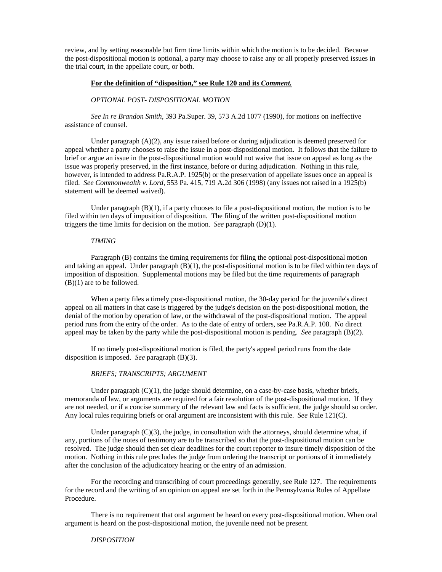review, and by setting reasonable but firm time limits within which the motion is to be decided. Because the post-dispositional motion is optional, a party may choose to raise any or all properly preserved issues in the trial court, in the appellate court, or both.

#### **For the definition of "disposition," see Rule 120 and its** *Comment.*

#### *OPTIONAL POST- DISPOSITIONAL MOTION*

*See In re Brandon Smith*, 393 Pa.Super. 39, 573 A.2d 1077 (1990), for motions on ineffective assistance of counsel.

Under paragraph  $(A)(2)$ , any issue raised before or during adjudication is deemed preserved for appeal whether a party chooses to raise the issue in a post-dispositional motion. It follows that the failure to brief or argue an issue in the post-dispositional motion would not waive that issue on appeal as long as the issue was properly preserved, in the first instance, before or during adjudication. Nothing in this rule, however, is intended to address Pa.R.A.P. 1925(b) or the preservation of appellate issues once an appeal is filed. *See Commonwealth v. Lord,* 553 Pa. 415, 719 A.2d 306 (1998) (any issues not raised in a 1925(b) statement will be deemed waived).

Under paragraph  $(B)(1)$ , if a party chooses to file a post-dispositional motion, the motion is to be filed within ten days of imposition of disposition. The filing of the written post-dispositional motion triggers the time limits for decision on the motion. *See* paragraph (D)(1).

#### *TIMING*

Paragraph (B) contains the timing requirements for filing the optional post-dispositional motion and taking an appeal. Under paragraph (B)(1), the post-dispositional motion is to be filed within ten days of imposition of disposition. Supplemental motions may be filed but the time requirements of paragraph  $(B)(1)$  are to be followed.

When a party files a timely post-dispositional motion, the 30-day period for the juvenile's direct appeal on all matters in that case is triggered by the judge's decision on the post-dispositional motion, the denial of the motion by operation of law, or the withdrawal of the post-dispositional motion. The appeal period runs from the entry of the order. As to the date of entry of orders, see Pa.R.A.P. 108. No direct appeal may be taken by the party while the post-dispositional motion is pending. *See* paragraph (B)(2).

If no timely post-dispositional motion is filed, the party's appeal period runs from the date disposition is imposed. *See* paragraph (B)(3).

#### *BRIEFS; TRANSCRIPTS; ARGUMENT*

Under paragraph  $(C)(1)$ , the judge should determine, on a case-by-case basis, whether briefs, memoranda of law, or arguments are required for a fair resolution of the post-dispositional motion. If they are not needed, or if a concise summary of the relevant law and facts is sufficient, the judge should so order. Any local rules requiring briefs or oral argument are inconsistent with this rule. *See* Rule 121(C).

Under paragraph  $(C)(3)$ , the judge, in consultation with the attorneys, should determine what, if any, portions of the notes of testimony are to be transcribed so that the post-dispositional motion can be resolved. The judge should then set clear deadlines for the court reporter to insure timely disposition of the motion. Nothing in this rule precludes the judge from ordering the transcript or portions of it immediately after the conclusion of the adjudicatory hearing or the entry of an admission.

For the recording and transcribing of court proceedings generally, see Rule 127. The requirements for the record and the writing of an opinion on appeal are set forth in the Pennsylvania Rules of Appellate Procedure.

There is no requirement that oral argument be heard on every post-dispositional motion. When oral argument is heard on the post-dispositional motion, the juvenile need not be present.

#### *DISPOSITION*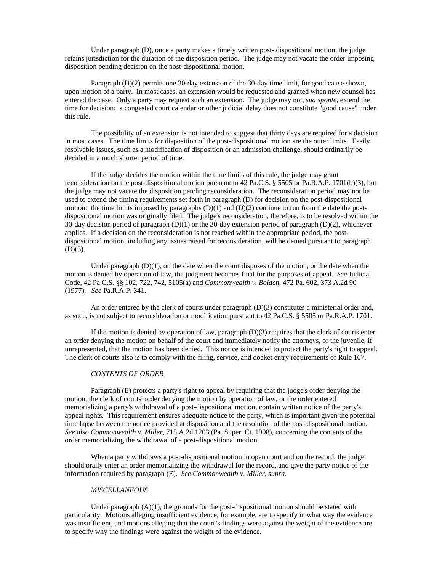Under paragraph (D), once a party makes a timely written post- dispositional motion, the judge retains jurisdiction for the duration of the disposition period. The judge may not vacate the order imposing disposition pending decision on the post-dispositional motion.

Paragraph (D)(2) permits one 30-day extension of the 30-day time limit, for good cause shown, upon motion of a party. In most cases, an extension would be requested and granted when new counsel has entered the case. Only a party may request such an extension. The judge may not, *sua sponte*, extend the time for decision: a congested court calendar or other judicial delay does not constitute "good cause" under this rule.

The possibility of an extension is not intended to suggest that thirty days are required for a decision in most cases. The time limits for disposition of the post-dispositional motion are the outer limits. Easily resolvable issues, such as a modification of disposition or an admission challenge, should ordinarily be decided in a much shorter period of time.

If the judge decides the motion within the time limits of this rule, the judge may grant reconsideration on the post-dispositional motion pursuant to 42 Pa.C.S. § 5505 or Pa.R.A.P. 1701(b)(3), but the judge may not vacate the disposition pending reconsideration. The reconsideration period may not be used to extend the timing requirements set forth in paragraph (D) for decision on the post-dispositional motion: the time limits imposed by paragraphs  $(D)(1)$  and  $(D)(2)$  continue to run from the date the postdispositional motion was originally filed. The judge's reconsideration, therefore, is to be resolved within the 30-day decision period of paragraph (D)(1) or the 30-day extension period of paragraph (D)(2), whichever applies. If a decision on the reconsideration is not reached within the appropriate period, the postdispositional motion, including any issues raised for reconsideration, will be denied pursuant to paragraph  $(D)(3)$ .

Under paragraph  $(D)(1)$ , on the date when the court disposes of the motion, or the date when the motion is denied by operation of law, the judgment becomes final for the purposes of appeal. *See* Judicial Code, 42 Pa.C.S. §§ 102, 722, 742, 5105(a) and *Commonwealth v. Bolden*, 472 Pa. 602, 373 A.2d 90 (1977). *See* Pa.R.A.P. 341.

An order entered by the clerk of courts under paragraph (D)(3) constitutes a ministerial order and, as such, is not subject to reconsideration or modification pursuant to 42 Pa.C.S. § 5505 or Pa.R.A.P. 1701.

If the motion is denied by operation of law, paragraph  $(D)(3)$  requires that the clerk of courts enter an order denying the motion on behalf of the court and immediately notify the attorneys, or the juvenile, if unrepresented, that the motion has been denied. This notice is intended to protect the party's right to appeal. The clerk of courts also is to comply with the filing, service, and docket entry requirements of Rule 167.

#### *CONTENTS OF ORDER*

Paragraph (E) protects a party's right to appeal by requiring that the judge's order denying the motion, the clerk of courts' order denying the motion by operation of law, or the order entered memorializing a party's withdrawal of a post-dispositional motion, contain written notice of the party's appeal rights. This requirement ensures adequate notice to the party, which is important given the potential time lapse between the notice provided at disposition and the resolution of the post-dispositional motion. *See also Commonwealth v. Miller,* 715 A.2d 1203 (Pa. Super. Ct. 1998), concerning the contents of the order memorializing the withdrawal of a post-dispositional motion.

When a party withdraws a post-dispositional motion in open court and on the record, the judge should orally enter an order memorializing the withdrawal for the record, and give the party notice of the information required by paragraph (E). *See Commonwealth v. Miller, supra.*

#### *MISCELLANEOUS*

Under paragraph  $(A)(1)$ , the grounds for the post-dispositional motion should be stated with particularity. Motions alleging insufficient evidence, for example, are to specify in what way the evidence was insufficient, and motions alleging that the court's findings were against the weight of the evidence are to specify why the findings were against the weight of the evidence.